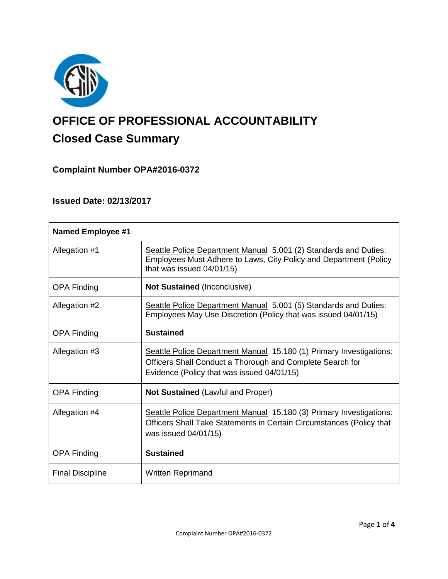

# **OFFICE OF PROFESSIONAL ACCOUNTABILITY Closed Case Summary**

# **Complaint Number OPA#2016-0372**

# **Issued Date: 02/13/2017**

| <b>Named Employee #1</b> |                                                                                                                                                                                |
|--------------------------|--------------------------------------------------------------------------------------------------------------------------------------------------------------------------------|
| Allegation #1            | Seattle Police Department Manual 5.001 (2) Standards and Duties:<br>Employees Must Adhere to Laws, City Policy and Department (Policy<br>that was issued 04/01/15)             |
| <b>OPA Finding</b>       | <b>Not Sustained (Inconclusive)</b>                                                                                                                                            |
| Allegation #2            | Seattle Police Department Manual 5.001 (5) Standards and Duties:<br>Employees May Use Discretion (Policy that was issued 04/01/15)                                             |
| <b>OPA Finding</b>       | <b>Sustained</b>                                                                                                                                                               |
| Allegation #3            | Seattle Police Department Manual 15.180 (1) Primary Investigations:<br>Officers Shall Conduct a Thorough and Complete Search for<br>Evidence (Policy that was issued 04/01/15) |
| <b>OPA Finding</b>       | <b>Not Sustained (Lawful and Proper)</b>                                                                                                                                       |
| Allegation #4            | Seattle Police Department Manual 15.180 (3) Primary Investigations:<br>Officers Shall Take Statements in Certain Circumstances (Policy that<br>was issued 04/01/15)            |
| <b>OPA Finding</b>       | <b>Sustained</b>                                                                                                                                                               |
| <b>Final Discipline</b>  | Written Reprimand                                                                                                                                                              |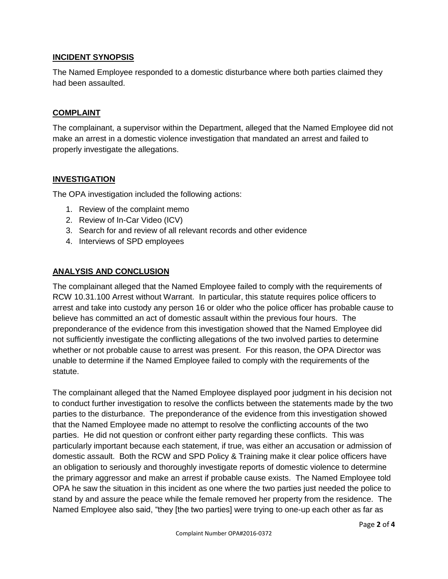## **INCIDENT SYNOPSIS**

The Named Employee responded to a domestic disturbance where both parties claimed they had been assaulted.

## **COMPLAINT**

The complainant, a supervisor within the Department, alleged that the Named Employee did not make an arrest in a domestic violence investigation that mandated an arrest and failed to properly investigate the allegations.

## **INVESTIGATION**

The OPA investigation included the following actions:

- 1. Review of the complaint memo
- 2. Review of In-Car Video (ICV)
- 3. Search for and review of all relevant records and other evidence
- 4. Interviews of SPD employees

## **ANALYSIS AND CONCLUSION**

The complainant alleged that the Named Employee failed to comply with the requirements of RCW 10.31.100 Arrest without Warrant. In particular, this statute requires police officers to arrest and take into custody any person 16 or older who the police officer has probable cause to believe has committed an act of domestic assault within the previous four hours. The preponderance of the evidence from this investigation showed that the Named Employee did not sufficiently investigate the conflicting allegations of the two involved parties to determine whether or not probable cause to arrest was present. For this reason, the OPA Director was unable to determine if the Named Employee failed to comply with the requirements of the statute.

The complainant alleged that the Named Employee displayed poor judgment in his decision not to conduct further investigation to resolve the conflicts between the statements made by the two parties to the disturbance. The preponderance of the evidence from this investigation showed that the Named Employee made no attempt to resolve the conflicting accounts of the two parties. He did not question or confront either party regarding these conflicts. This was particularly important because each statement, if true, was either an accusation or admission of domestic assault. Both the RCW and SPD Policy & Training make it clear police officers have an obligation to seriously and thoroughly investigate reports of domestic violence to determine the primary aggressor and make an arrest if probable cause exists. The Named Employee told OPA he saw the situation in this incident as one where the two parties just needed the police to stand by and assure the peace while the female removed her property from the residence. The Named Employee also said, "they [the two parties] were trying to one-up each other as far as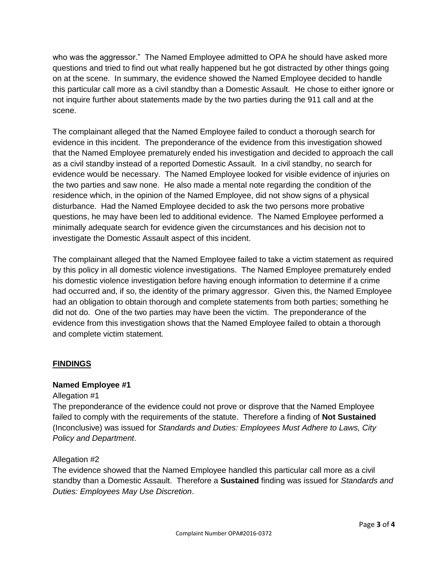who was the aggressor." The Named Employee admitted to OPA he should have asked more questions and tried to find out what really happened but he got distracted by other things going on at the scene. In summary, the evidence showed the Named Employee decided to handle this particular call more as a civil standby than a Domestic Assault. He chose to either ignore or not inquire further about statements made by the two parties during the 911 call and at the scene.

The complainant alleged that the Named Employee failed to conduct a thorough search for evidence in this incident. The preponderance of the evidence from this investigation showed that the Named Employee prematurely ended his investigation and decided to approach the call as a civil standby instead of a reported Domestic Assault. In a civil standby, no search for evidence would be necessary. The Named Employee looked for visible evidence of injuries on the two parties and saw none. He also made a mental note regarding the condition of the residence which, in the opinion of the Named Employee, did not show signs of a physical disturbance. Had the Named Employee decided to ask the two persons more probative questions, he may have been led to additional evidence. The Named Employee performed a minimally adequate search for evidence given the circumstances and his decision not to investigate the Domestic Assault aspect of this incident.

The complainant alleged that the Named Employee failed to take a victim statement as required by this policy in all domestic violence investigations. The Named Employee prematurely ended his domestic violence investigation before having enough information to determine if a crime had occurred and, if so, the identity of the primary aggressor. Given this, the Named Employee had an obligation to obtain thorough and complete statements from both parties; something he did not do. One of the two parties may have been the victim. The preponderance of the evidence from this investigation shows that the Named Employee failed to obtain a thorough and complete victim statement.

## **FINDINGS**

## **Named Employee #1**

## Allegation #1

The preponderance of the evidence could not prove or disprove that the Named Employee failed to comply with the requirements of the statute. Therefore a finding of **Not Sustained** (Inconclusive) was issued for *Standards and Duties: Employees Must Adhere to Laws, City Policy and Department*.

## Allegation #2

The evidence showed that the Named Employee handled this particular call more as a civil standby than a Domestic Assault. Therefore a **Sustained** finding was issued for *Standards and Duties: Employees May Use Discretion*.